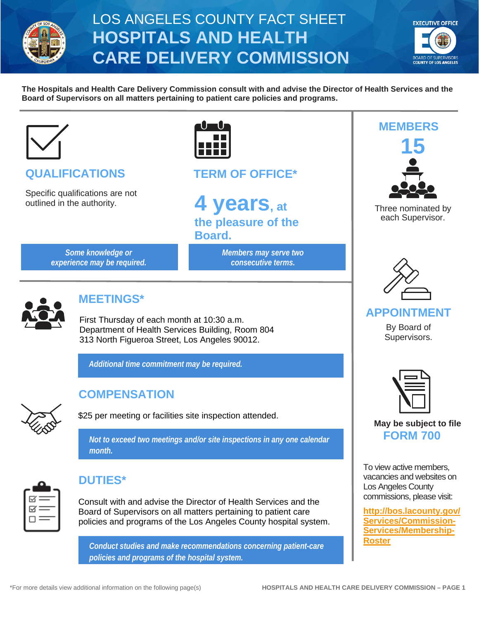

# LOS ANGELES COUNTY FACT SHEET **HOSPITALS AND HEALTH CARE DELIVERY COMMISSION**



**The Hospitals and Health Care Delivery Commission consult with and advise the Director of Health Services and the Board of Supervisors on all matters pertaining to patient care policies and programs.**



# **QUALIFICATIONS**

Specific qualifications are not outlined in the authority.



**Board.**

**TERM OF OFFICE\***

**4 years, at the pleasure of the** 

> *Members may serve two consecutive terms.*

*Some knowledge or experience may be required.*  **MEMBERS 15** 

Three nominated by each Supervisor.



#### **APPOINTMENT**

By Board of Supervisors.



**May be subject to file**

To view active members, vacancies and websites on Los Angeles County commissions, please visit:

**[http://bos.lacounty.gov/](http://bos.lacounty.gov/Services/Commission-Services/Membership-Roster) [Services/Commission-](http://bos.lacounty.gov/Services/Commission-Services/Membership-Roster)[Services/Membership-](http://bos.lacounty.gov/Services/Commission-Services/Membership-Roster)[Roster](http://bos.lacounty.gov/Services/Commission-Services/Membership-Roster)**



# **MEETINGS\***

First Thursday of each month at 10:30 a.m. Department of Health Services Building, Room 804 313 North Figueroa Street, Los Angeles 90012.

*Additional time commitment may be required.* 



## **COMPENSATION**

\$25 per meeting or facilities site inspection attended.

*Not to exceed two meetings and/or site inspections in any one calendar* **FORM 700** *month.*



#### **DUTIES\***

Consult with and advise the Director of Health Services and the Board of Supervisors on all matters pertaining to patient care policies and programs of the Los Angeles County hospital system.

*Conduct studies and make recommendations concerning patient-care policies and programs of the hospital system.*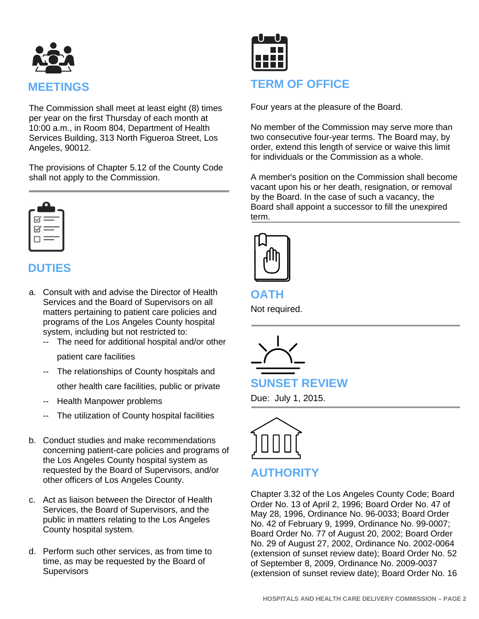

The Commission shall meet at least eight (8) times per year on the first Thursday of each month at 10:00 a.m., in Room 804, Department of Health Services Building, 313 North Figueroa Street, Los Angeles, 90012.

The provisions of Chapter 5.12 of the County Code shall not apply to the Commission.

| 1 = |  |
|-----|--|
| 1∝  |  |
|     |  |

## **DUTIES**

- a. Consult with and advise the Director of Health Services and the Board of Supervisors on all matters pertaining to patient care policies and programs of the Los Angeles County hospital system, including but not restricted to:
	- -- The need for additional hospital and/or other

patient care facilities

-- The relationships of County hospitals and

other health care facilities, public or private

- Health Manpower problems
- The utilization of County hospital facilities
- b. Conduct studies and make recommendations concerning patient-care policies and programs of the Los Angeles County hospital system as requested by the Board of Supervisors, and/or other officers of Los Angeles County.
- c. Act as liaison between the Director of Health Services, the Board of Supervisors, and the public in matters relating to the Los Angeles County hospital system.
- d. Perform such other services, as from time to time, as may be requested by the Board of **Supervisors**



#### **TERM OF OFFICE**

Four years at the pleasure of the Board.

No member of the Commission may serve more than two consecutive four-year terms. The Board may, by order, extend this length of service or waive this limit for individuals or the Commission as a whole.

A member's position on the Commission shall become vacant upon his or her death, resignation, or removal by the Board. In the case of such a vacancy, the Board shall appoint a successor to fill the unexpired term.



**OATH**

Not required.



**SUNSET REVIEW**

Due: July 1, 2015.



# **AUTHORITY**

Chapter 3.32 of the Los Angeles County Code; Board Order No. 13 of April 2, 1996; Board Order No. 47 of May 28, 1996, Ordinance No. 96-0033; Board Order No. 42 of February 9, 1999, Ordinance No. 99-0007; Board Order No. 77 of August 20, 2002; Board Order No. 29 of August 27, 2002, Ordinance No. 2002-0064 (extension of sunset review date); Board Order No. 52 of September 8, 2009, Ordinance No. 2009-0037 (extension of sunset review date); Board Order No. 16